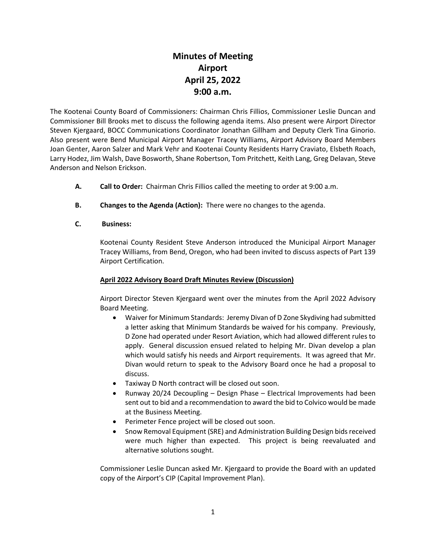# **Minutes of Meeting Airport April 25, 2022 9:00 a.m.**

The Kootenai County Board of Commissioners: Chairman Chris Fillios, Commissioner Leslie Duncan and Commissioner Bill Brooks met to discuss the following agenda items. Also present were Airport Director Steven Kjergaard, BOCC Communications Coordinator Jonathan Gillham and Deputy Clerk Tina Ginorio. Also present were Bend Municipal Airport Manager Tracey Williams, Airport Advisory Board Members Joan Genter, Aaron Salzer and Mark Vehr and Kootenai County Residents Harry Craviato, Elsbeth Roach, Larry Hodez, Jim Walsh, Dave Bosworth, Shane Robertson, Tom Pritchett, Keith Lang, Greg Delavan, Steve Anderson and Nelson Erickson.

- **A. Call to Order:** Chairman Chris Fillios called the meeting to order at 9:00 a.m.
- **B. Changes to the Agenda (Action):** There were no changes to the agenda.
- **C. Business:**

Kootenai County Resident Steve Anderson introduced the Municipal Airport Manager Tracey Williams, from Bend, Oregon, who had been invited to discuss aspects of Part 139 Airport Certification.

#### **April 2022 Advisory Board Draft Minutes Review (Discussion)**

Airport Director Steven Kjergaard went over the minutes from the April 2022 Advisory Board Meeting.

- Waiver for Minimum Standards: Jeremy Divan of D Zone Skydiving had submitted a letter asking that Minimum Standards be waived for his company. Previously, D Zone had operated under Resort Aviation, which had allowed different rules to apply. General discussion ensued related to helping Mr. Divan develop a plan which would satisfy his needs and Airport requirements. It was agreed that Mr. Divan would return to speak to the Advisory Board once he had a proposal to discuss.
- Taxiway D North contract will be closed out soon.
- Runway 20/24 Decoupling Design Phase Electrical Improvements had been sent out to bid and a recommendation to award the bid to Colvico would be made at the Business Meeting.
- Perimeter Fence project will be closed out soon.
- Snow Removal Equipment (SRE) and Administration Building Design bids received were much higher than expected. This project is being reevaluated and alternative solutions sought.

Commissioner Leslie Duncan asked Mr. Kjergaard to provide the Board with an updated copy of the Airport's CIP (Capital Improvement Plan).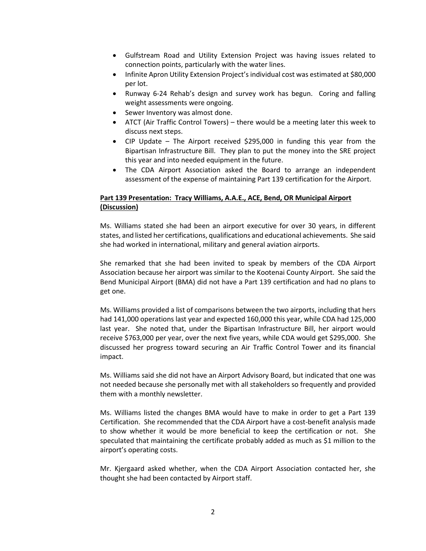- Gulfstream Road and Utility Extension Project was having issues related to connection points, particularly with the water lines.
- Infinite Apron Utility Extension Project's individual cost was estimated at \$80,000 per lot.
- Runway 6-24 Rehab's design and survey work has begun. Coring and falling weight assessments were ongoing.
- Sewer Inventory was almost done.
- ATCT (Air Traffic Control Towers) there would be a meeting later this week to discuss next steps.
- CIP Update The Airport received \$295,000 in funding this year from the Bipartisan Infrastructure Bill. They plan to put the money into the SRE project this year and into needed equipment in the future.
- The CDA Airport Association asked the Board to arrange an independent assessment of the expense of maintaining Part 139 certification for the Airport.

### **Part 139 Presentation: Tracy Williams, A.A.E., ACE, Bend, OR Municipal Airport (Discussion)**

Ms. Williams stated she had been an airport executive for over 30 years, in different states, and listed her certifications, qualifications and educational achievements. She said she had worked in international, military and general aviation airports.

She remarked that she had been invited to speak by members of the CDA Airport Association because her airport was similar to the Kootenai County Airport. She said the Bend Municipal Airport (BMA) did not have a Part 139 certification and had no plans to get one.

Ms. Williams provided a list of comparisons between the two airports, including that hers had 141,000 operations last year and expected 160,000 this year, while CDA had 125,000 last year. She noted that, under the Bipartisan Infrastructure Bill, her airport would receive \$763,000 per year, over the next five years, while CDA would get \$295,000. She discussed her progress toward securing an Air Traffic Control Tower and its financial impact.

Ms. Williams said she did not have an Airport Advisory Board, but indicated that one was not needed because she personally met with all stakeholders so frequently and provided them with a monthly newsletter.

Ms. Williams listed the changes BMA would have to make in order to get a Part 139 Certification. She recommended that the CDA Airport have a cost-benefit analysis made to show whether it would be more beneficial to keep the certification or not. She speculated that maintaining the certificate probably added as much as \$1 million to the airport's operating costs.

Mr. Kjergaard asked whether, when the CDA Airport Association contacted her, she thought she had been contacted by Airport staff.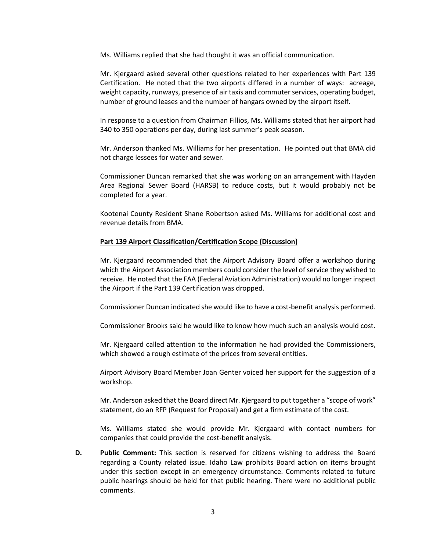Ms. Williams replied that she had thought it was an official communication.

Mr. Kjergaard asked several other questions related to her experiences with Part 139 Certification. He noted that the two airports differed in a number of ways: acreage, weight capacity, runways, presence of air taxis and commuter services, operating budget, number of ground leases and the number of hangars owned by the airport itself.

In response to a question from Chairman Fillios, Ms. Williams stated that her airport had 340 to 350 operations per day, during last summer's peak season.

Mr. Anderson thanked Ms. Williams for her presentation. He pointed out that BMA did not charge lessees for water and sewer.

Commissioner Duncan remarked that she was working on an arrangement with Hayden Area Regional Sewer Board (HARSB) to reduce costs, but it would probably not be completed for a year.

Kootenai County Resident Shane Robertson asked Ms. Williams for additional cost and revenue details from BMA.

#### **Part 139 Airport Classification/Certification Scope (Discussion)**

Mr. Kjergaard recommended that the Airport Advisory Board offer a workshop during which the Airport Association members could consider the level of service they wished to receive. He noted that the FAA (Federal Aviation Administration) would no longer inspect the Airport if the Part 139 Certification was dropped.

Commissioner Duncan indicated she would like to have a cost-benefit analysis performed.

Commissioner Brooks said he would like to know how much such an analysis would cost.

Mr. Kjergaard called attention to the information he had provided the Commissioners, which showed a rough estimate of the prices from several entities.

Airport Advisory Board Member Joan Genter voiced her support for the suggestion of a workshop.

Mr. Anderson asked that the Board direct Mr. Kjergaard to put together a "scope of work" statement, do an RFP (Request for Proposal) and get a firm estimate of the cost.

Ms. Williams stated she would provide Mr. Kjergaard with contact numbers for companies that could provide the cost-benefit analysis.

**D. Public Comment:** This section is reserved for citizens wishing to address the Board regarding a County related issue. Idaho Law prohibits Board action on items brought under this section except in an emergency circumstance. Comments related to future public hearings should be held for that public hearing. There were no additional public comments.